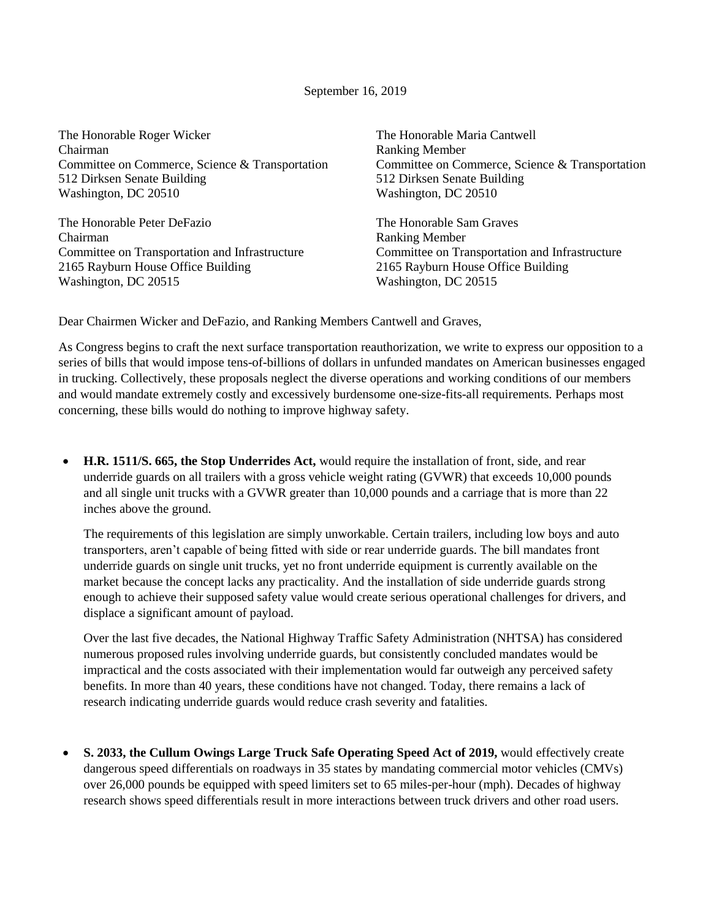## September 16, 2019

| The Honorable Roger Wicker                      | The Honorable Maria Cantwell                    |
|-------------------------------------------------|-------------------------------------------------|
| Chairman                                        | <b>Ranking Member</b>                           |
| Committee on Commerce, Science & Transportation | Committee on Commerce, Science & Transportation |
| 512 Dirksen Senate Building                     | 512 Dirksen Senate Building                     |
| Washington, DC 20510                            | Washington, DC 20510                            |
| The Honorable Peter DeFazio                     | The Honorable Sam Graves                        |
| Chairman                                        | <b>Ranking Member</b>                           |
| Committee on Transportation and Infrastructure  | Committee on Transportation and Infrastructure  |
| 2165 Rayburn House Office Building              | 2165 Rayburn House Office Building              |
| Washington, DC 20515                            | Washington, DC 20515                            |
|                                                 |                                                 |
|                                                 |                                                 |

Dear Chairmen Wicker and DeFazio, and Ranking Members Cantwell and Graves,

As Congress begins to craft the next surface transportation reauthorization, we write to express our opposition to a series of bills that would impose tens-of-billions of dollars in unfunded mandates on American businesses engaged in trucking. Collectively, these proposals neglect the diverse operations and working conditions of our members and would mandate extremely costly and excessively burdensome one-size-fits-all requirements. Perhaps most concerning, these bills would do nothing to improve highway safety.

 **H.R. 1511/S. 665, the Stop Underrides Act,** would require the installation of front, side, and rear underride guards on all trailers with a gross vehicle weight rating (GVWR) that exceeds 10,000 pounds and all single unit trucks with a GVWR greater than 10,000 pounds and a carriage that is more than 22 inches above the ground.

The requirements of this legislation are simply unworkable. Certain trailers, including low boys and auto transporters, aren't capable of being fitted with side or rear underride guards. The bill mandates front underride guards on single unit trucks, yet no front underride equipment is currently available on the market because the concept lacks any practicality. And the installation of side underride guards strong enough to achieve their supposed safety value would create serious operational challenges for drivers, and displace a significant amount of payload.

Over the last five decades, the National Highway Traffic Safety Administration (NHTSA) has considered numerous proposed rules involving underride guards, but consistently concluded mandates would be impractical and the costs associated with their implementation would far outweigh any perceived safety benefits. In more than 40 years, these conditions have not changed. Today, there remains a lack of research indicating underride guards would reduce crash severity and fatalities.

 **S. 2033, the Cullum Owings Large Truck Safe Operating Speed Act of 2019,** would effectively create dangerous speed differentials on roadways in 35 states by mandating commercial motor vehicles (CMVs) over 26,000 pounds be equipped with speed limiters set to 65 miles-per-hour (mph). Decades of highway research shows speed differentials result in more interactions between truck drivers and other road users.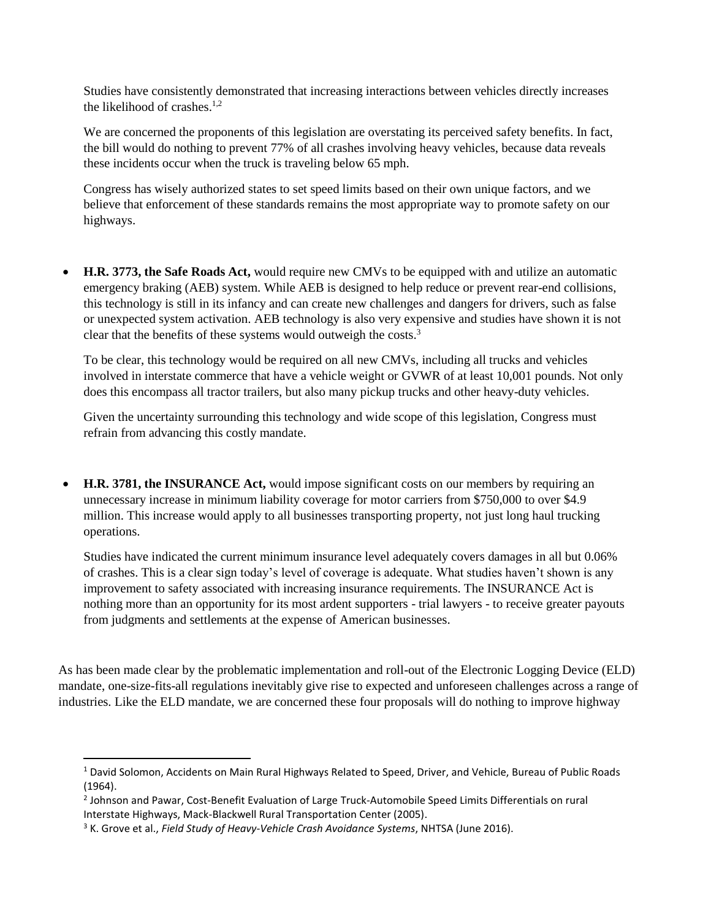Studies have consistently demonstrated that increasing interactions between vehicles directly increases the likelihood of crashes. $1,2$ 

We are concerned the proponents of this legislation are overstating its perceived safety benefits. In fact, the bill would do nothing to prevent 77% of all crashes involving heavy vehicles, because data reveals these incidents occur when the truck is traveling below 65 mph.

Congress has wisely authorized states to set speed limits based on their own unique factors, and we believe that enforcement of these standards remains the most appropriate way to promote safety on our highways.

 **H.R. 3773, the Safe Roads Act,** would require new CMVs to be equipped with and utilize an automatic emergency braking (AEB) system. While AEB is designed to help reduce or prevent rear-end collisions, this technology is still in its infancy and can create new challenges and dangers for drivers, such as false or unexpected system activation. AEB technology is also very expensive and studies have shown it is not clear that the benefits of these systems would outweigh the costs.<sup>3</sup>

To be clear, this technology would be required on all new CMVs, including all trucks and vehicles involved in interstate commerce that have a vehicle weight or GVWR of at least 10,001 pounds. Not only does this encompass all tractor trailers, but also many pickup trucks and other heavy-duty vehicles.

Given the uncertainty surrounding this technology and wide scope of this legislation, Congress must refrain from advancing this costly mandate.

 **H.R. 3781, the INSURANCE Act,** would impose significant costs on our members by requiring an unnecessary increase in minimum liability coverage for motor carriers from \$750,000 to over \$4.9 million. This increase would apply to all businesses transporting property, not just long haul trucking operations.

Studies have indicated the current minimum insurance level adequately covers damages in all but 0.06% of crashes. This is a clear sign today's level of coverage is adequate. What studies haven't shown is any improvement to safety associated with increasing insurance requirements. The INSURANCE Act is nothing more than an opportunity for its most ardent supporters - trial lawyers - to receive greater payouts from judgments and settlements at the expense of American businesses.

As has been made clear by the problematic implementation and roll-out of the Electronic Logging Device (ELD) mandate, one-size-fits-all regulations inevitably give rise to expected and unforeseen challenges across a range of industries. Like the ELD mandate, we are concerned these four proposals will do nothing to improve highway

 $\overline{\phantom{a}}$ 

<sup>&</sup>lt;sup>1</sup> David Solomon, Accidents on Main Rural Highways Related to Speed, Driver, and Vehicle, Bureau of Public Roads (1964).

<sup>2</sup> Johnson and Pawar, Cost-Benefit Evaluation of Large Truck-Automobile Speed Limits Differentials on rural Interstate Highways, Mack-Blackwell Rural Transportation Center (2005).

<sup>3</sup> K. Grove et al., *Field Study of Heavy-Vehicle Crash Avoidance Systems*, NHTSA (June 2016).